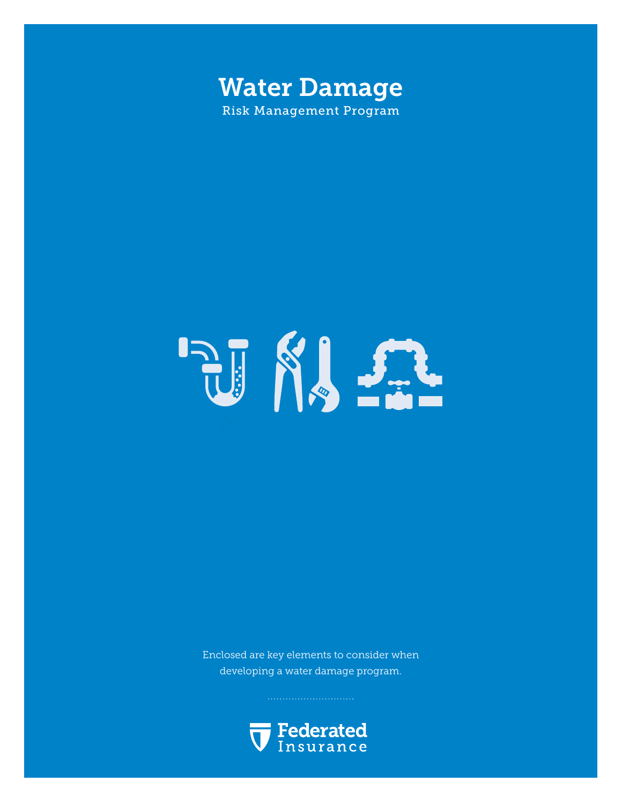



Enclosed are key elements to consider when developing a water damage program.

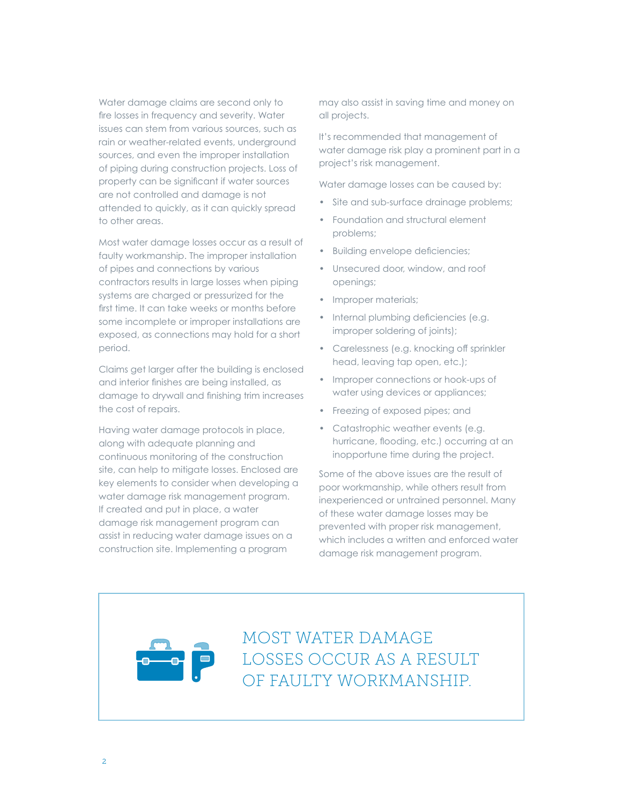Water damage claims are second only to fire losses in frequency and severity. Water issues can stem from various sources, such as rain or weather-related events, underground sources, and even the improper installation of piping during construction projects. Loss of property can be significant if water sources are not controlled and damage is not attended to quickly, as it can quickly spread to other areas.

Most water damage losses occur as a result of faulty workmanship. The improper installation of pipes and connections by various contractors results in large losses when piping systems are charged or pressurized for the first time. It can take weeks or months before some incomplete or improper installations are exposed, as connections may hold for a short period.

Claims get larger after the building is enclosed and interior finishes are being installed, as damage to drywall and finishing trim increases the cost of repairs.

Having water damage protocols in place, along with adequate planning and continuous monitoring of the construction site, can help to mitigate losses. Enclosed are key elements to consider when developing a water damage risk management program. If created and put in place, a water damage risk management program can assist in reducing water damage issues on a construction site. Implementing a program

may also assist in saving time and money on all projects.

It's recommended that management of water damage risk play a prominent part in a project's risk management.

Water damage losses can be caused by:

- Site and sub-surface drainage problems;
- Foundation and structural element problems;
- Building envelope deficiencies;
- Unsecured door, window, and roof openings;
- Improper materials;
- Internal plumbing deficiencies (e.g. improper soldering of joints);
- Carelessness (e.g. knocking off sprinkler head, leaving tap open, etc.);
- Improper connections or hook-ups of water using devices or appliances;
- Freezing of exposed pipes; and
- Catastrophic weather events (e.g. hurricane, flooding, etc.) occurring at an inopportune time during the project.

Some of the above issues are the result of poor workmanship, while others result from inexperienced or untrained personnel. Many of these water damage losses may be prevented with proper risk management, which includes a written and enforced water damage risk management program.

MOST WATER DAMAGE LOSSES OCCUR AS A RESULT OF FAULTY WORKMANSHIP.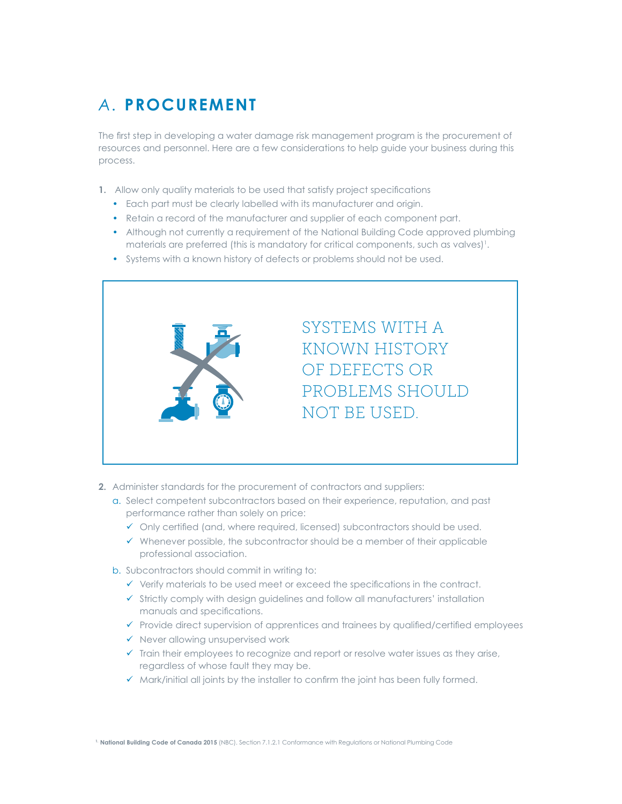## *A.* **PROCUREMENT**

The first step in developing a water damage risk management program is the procurement of resources and personnel. Here are a few considerations to help guide your business during this process.

- **1.** Allow only quality materials to be used that satisfy project specifications
	- Each part must be clearly labelled with its manufacturer and origin.
	- Retain a record of the manufacturer and supplier of each component part.
	- Although not currently a requirement of the National Building Code approved plumbing materials are preferred (this is mandatory for critical components, such as valves)'.
	- Systems with a known history of defects or problems should not be used.



- **2.** Administer standards for the procurement of contractors and suppliers:
	- a. Select competent subcontractors based on their experience, reputation, and past performance rather than solely on price:
		- $\checkmark$  Only certified (and, where required, licensed) subcontractors should be used.
		- $\checkmark$  Whenever possible, the subcontractor should be a member of their applicable professional association.
	- b. Subcontractors should commit in writing to:
		- $\checkmark$  Verify materials to be used meet or exceed the specifications in the contract.
		- $\checkmark$  Strictly comply with design guidelines and follow all manufacturers' installation manuals and specifications.
		- $\checkmark$  Provide direct supervision of apprentices and trainees by qualified/certified employees
		- $\checkmark$  Never allowing unsupervised work
		- $\checkmark$  Train their employees to recognize and report or resolve water issues as they arise, regardless of whose fault they may be.
		- $\checkmark$  Mark/initial all joints by the installer to confirm the joint has been fully formed.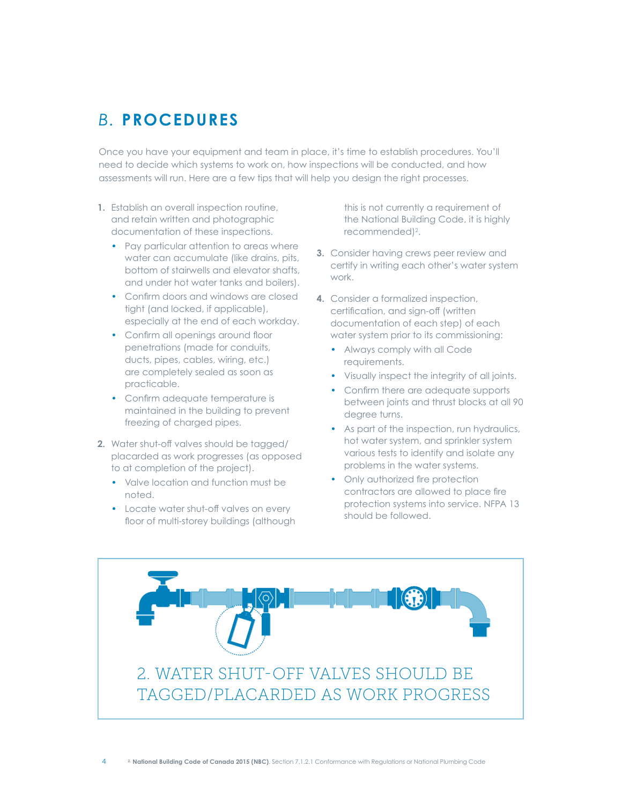### *B.* **PROCEDURES**

Once you have your equipment and team in place, it's time to establish procedures. You'll need to decide which systems to work on, how inspections will be conducted, and how assessments will run. Here are a few tips that will help you design the right processes.

- **1.** Establish an overall inspection routine, and retain written and photographic documentation of these inspections.
	- Pay particular attention to areas where water can accumulate (like drains, pits, bottom of stairwells and elevator shafts, and under hot water tanks and boilers).
	- Confirm doors and windows are closed tight (and locked, if applicable), especially at the end of each workday.
	- Confirm all openings around floor penetrations (made for conduits, ducts, pipes, cables, wiring, etc.) are completely sealed as soon as practicable.
	- Confirm adequate temperature is maintained in the building to prevent freezing of charged pipes.
- **2.** Water shut-off valves should be tagged/ placarded as work progresses (as opposed to at completion of the project).
	- Valve location and function must be noted.
	- Locate water shut-off valves on every floor of multi-storey buildings (although

this is not currently a requirement of the National Building Code, it is highly recommended)<sup>2</sup>.

- **3.** Consider having crews peer review and certify in writing each other's water system work.
- **4.** Consider a formalized inspection, certification, and sign-off (written documentation of each step) of each water system prior to its commissioning:
	- Always comply with all Code requirements.
	- Visually inspect the integrity of all joints.
	- Confirm there are adequate supports between joints and thrust blocks at all 90 degree turns.
	- As part of the inspection, run hydraulics, hot water system, and sprinkler system various tests to identify and isolate any problems in the water systems.
	- Only authorized fire protection contractors are allowed to place fire protection systems into service. NFPA 13 should be followed.

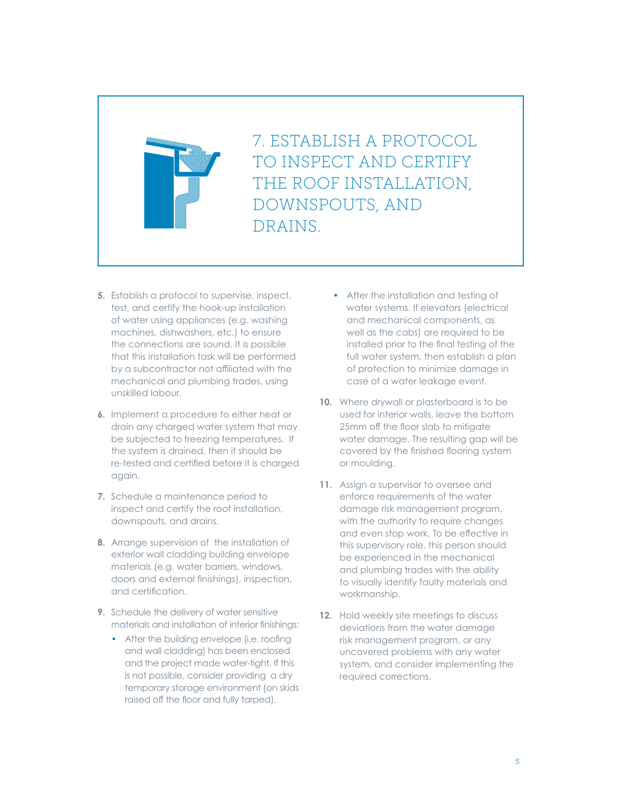

7. ESTABLISH A PROTOCOL TO INSPECT AND CERTIFY THE ROOF INSTALLATION, DOWNSPOUTS, AND DRAINS.

- **5.** Establish a protocol to supervise, inspect, test, and certify the hook-up installation of water using appliances (e.g. washing machines, dishwashers, etc.) to ensure the connections are sound. It is possible that this installation task will be performed by a subcontractor not affiliated with the mechanical and plumbing trades, using unskilled labour.
- **6.** Implement a procedure to either heat or drain any charged water system that may be subjected to freezing temperatures. If the system is drained, then it should be re-tested and certified before it is charged again.
- **7.** Schedule a maintenance period to inspect and certify the roof installation, downspouts, and drains.
- **8.** Arrange supervision of the installation of exterior wall cladding building envelope materials (e.g. water barriers, windows, doors and external finishings), inspection, and certification.
- **9.** Schedule the delivery of water sensitive materials and installation of interior finishings:
	- After the building envelope (i.e. roofing and wall cladding) has been enclosed and the project made water-tight. If this is not possible, consider providing a dry temporary storage environment (on skids raised off the floor and fully tarped).
- After the installation and testing of water systems. If elevators (electrical and mechanical components, as well as the cabs) are required to be installed prior to the final testing of the full water system, then establish a plan of protection to minimize damage in case of a water leakage event.
- **10.** Where drywall or plasterboard is to be used for interior walls, leave the bottom 25mm off the floor slab to mitigate water damage. The resulting gap will be covered by the finished flooring system or moulding.
- **11.** Assign a supervisor to oversee and enforce requirements of the water damage risk management program, with the authority to require changes and even stop work. To be effective in this supervisory role, this person should be experienced in the mechanical and plumbing trades with the ability to visually identify faulty materials and workmanship.
- **12.** Hold weekly site meetings to discuss deviations from the water damage risk management program, or any uncovered problems with any water system, and consider implementing the required corrections.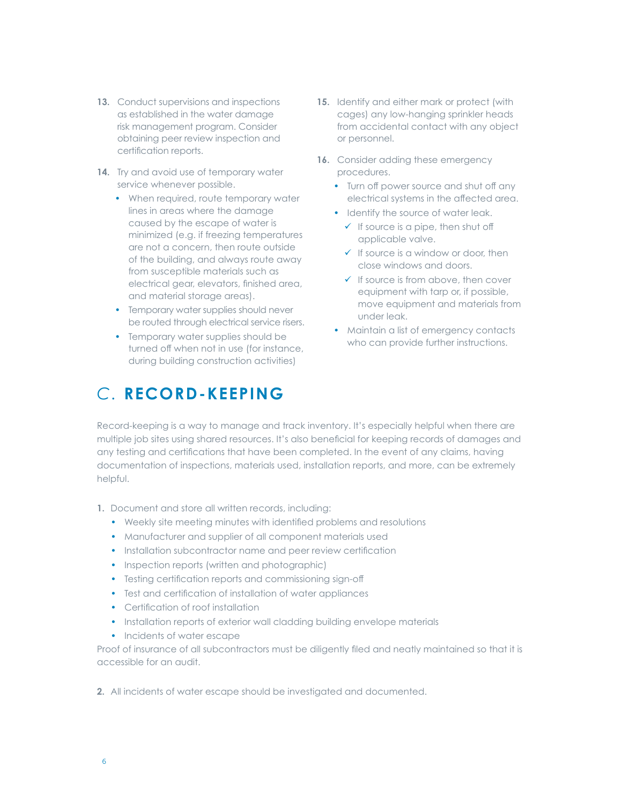- **13.** Conduct supervisions and inspections as established in the water damage risk management program. Consider obtaining peer review inspection and certification reports.
- 14. Try and avoid use of temporary water service whenever possible.
	- When required, route temporary water lines in areas where the damage caused by the escape of water is minimized (e.g. if freezing temperatures are not a concern, then route outside of the building, and always route away from susceptible materials such as electrical gear, elevators, finished area, and material storage areas).
	- Temporary water supplies should never be routed through electrical service risers.
	- Temporary water supplies should be turned off when not in use (for instance, during building construction activities)

# *C.* **RECORD-KEEPING**

- **15.** Identify and either mark or protect (with cages) any low-hanging sprinkler heads from accidental contact with any object or personnel.
- 16. Consider adding these emergency procedures.
	- Turn off power source and shut off any electrical systems in the affected area.
	- Identify the source of water leak.
		- $\checkmark$  If source is a pipe, then shut off applicable valve.
		- $\checkmark$  If source is a window or door, then close windows and doors.
		- $\checkmark$  If source is from above, then cover equipment with tarp or, if possible, move equipment and materials from under leak.
	- Maintain a list of emergency contacts who can provide further instructions.

Record-keeping is a way to manage and track inventory. It's especially helpful when there are multiple job sites using shared resources. It's also beneficial for keeping records of damages and any testing and certifications that have been completed. In the event of any claims, having documentation of inspections, materials used, installation reports, and more, can be extremely helpful.

- **1.** Document and store all written records, including:
	- Weekly site meeting minutes with identified problems and resolutions
	- Manufacturer and supplier of all component materials used
	- Installation subcontractor name and peer review certification
	- Inspection reports (written and photographic)
	- Testing certification reports and commissioning sign-off
	- Test and certification of installation of water appliances
	- Certification of roof installation
	- Installation reports of exterior wall cladding building envelope materials
	- Incidents of water escape

Proof of insurance of all subcontractors must be diligently filed and neatly maintained so that it is accessible for an audit.

**2.** All incidents of water escape should be investigated and documented.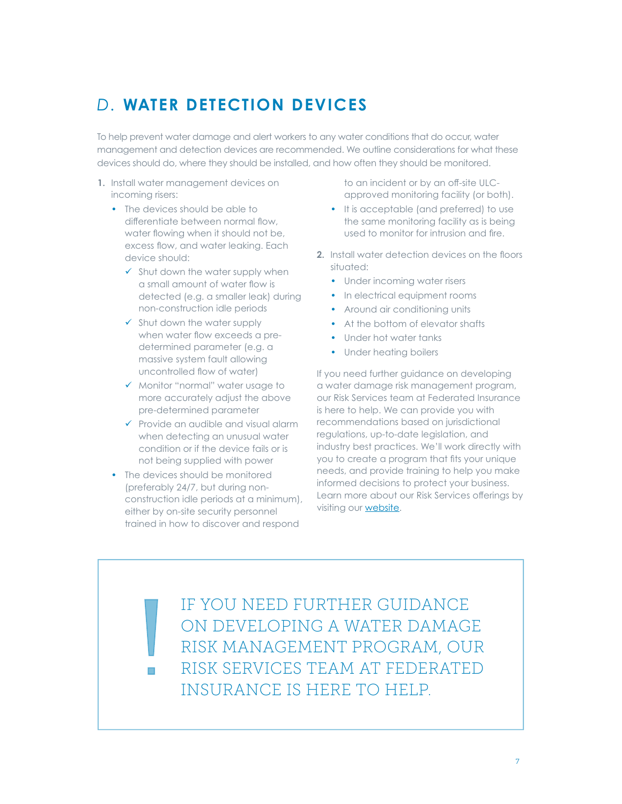## *D.* **WATER DETECTION DEVICES**

To help prevent water damage and alert workers to any water conditions that do occur, water management and detection devices are recommended. We outline considerations for what these devices should do, where they should be installed, and how often they should be monitored.

- **1.** Install water management devices on incoming risers:
	- The devices should be able to differentiate between normal flow, water flowing when it should not be, excess flow, and water leaking. Each device should:
		- $\checkmark$  Shut down the water supply when a small amount of water flow is detected (e.g. a smaller leak) during non-construction idle periods
		- $\checkmark$  Shut down the water supply when water flow exceeds a predetermined parameter (e.g. a massive system fault allowing uncontrolled flow of water)
		- $\checkmark$  Monitor "normal" water usage to more accurately adjust the above pre-determined parameter
		- $\checkmark$  Provide an audible and visual alarm when detecting an unusual water condition or if the device fails or is not being supplied with power
	- The devices should be monitored (preferably 24/7, but during nonconstruction idle periods at a minimum), either by on-site security personnel trained in how to discover and respond

to an incident or by an off-site ULCapproved monitoring facility (or both).

- It is acceptable (and preferred) to use the same monitoring facility as is being used to monitor for intrusion and fire.
- **2.** Install water detection devices on the floors situated:
	- Under incoming water risers
	- In electrical equipment rooms
	- Around air conditioning units
	- At the bottom of elevator shafts
	- Under hot water tanks
	- Under heating boilers

If you need further guidance on developing a water damage risk management program, our Risk Services team at Federated Insurance is here to help. We can provide you with recommendations based on jurisdictional regulations, up-to-date legislation, and industry best practices. We'll work directly with you to create a program that fits your unique needs, and provide training to help you make informed decisions to protect your business. Learn more about our Risk Services offerings by visiting our **website**.

IF YOU NEED FURTHER GUIDANCE ON DEVELOPING A WATER DAMAGE RISK MANAGEMENT PROGRAM, OUR RISK SERVICES TEAM AT FEDERATED INSURANCE IS HERE TO HELP.